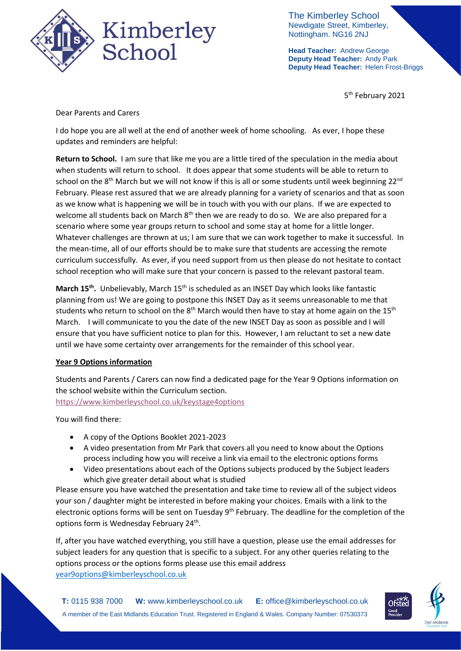

The Kimberley School Newdigate Street, Kimberley, Nottingham. NG16 2NJ

**Head Teacher:** Andrew George **Deputy Head Teacher:** Andy Park **Deputy Head Teacher:** Helen Frost-Briggs

5<sup>th</sup> February 2021

Dear Parents and Carers

I do hope you are all well at the end of another week of home schooling. As ever, I hope these updates and reminders are helpful:

**Return to School.** I am sure that like me you are a little tired of the speculation in the media about when students will return to school. It does appear that some students will be able to return to school on the 8<sup>th</sup> March but we will not know if this is all or some students until week beginning 22<sup>nd</sup> February. Please rest assured that we are already planning for a variety of scenarios and that as soon as we know what is happening we will be in touch with you with our plans. If we are expected to welcome all students back on March 8<sup>th</sup> then we are ready to do so. We are also prepared for a scenario where some year groups return to school and some stay at home for a little longer. Whatever challenges are thrown at us; I am sure that we can work together to make it successful. In the mean-time, all of our efforts should be to make sure that students are accessing the remote curriculum successfully. As ever, if you need support from us then please do not hesitate to contact school reception who will make sure that your concern is passed to the relevant pastoral team.

March 15<sup>th</sup>. Unbelievably, March 15<sup>th</sup> is scheduled as an INSET Day which looks like fantastic planning from us! We are going to postpone this INSET Day as it seems unreasonable to me that students who return to school on the 8<sup>th</sup> March would then have to stay at home again on the 15<sup>th</sup> March. I will communicate to you the date of the new INSET Day as soon as possible and I will ensure that you have sufficient notice to plan for this. However, I am reluctant to set a new date until we have some certainty over arrangements for the remainder of this school year.

## **Year 9 Options information**

Students and Parents / Carers can now find a dedicated page for the Year 9 Options information on the school website within the Curriculum section.

<https://www.kimberleyschool.co.uk/keystage4options>

You will find there:

- A copy of the Options Booklet 2021-2023
- A video presentation from Mr Park that covers all you need to know about the Options process including how you will receive a link via email to the electronic options forms
- Video presentations about each of the Options subjects produced by the Subject leaders which give greater detail about what is studied

Please ensure you have watched the presentation and take time to review all of the subject videos your son / daughter might be interested in before making your choices. Emails with a link to the electronic options forms will be sent on Tuesday 9<sup>th</sup> February. The deadline for the completion of the options form is Wednesday February 24<sup>th</sup>.

If, after you have watched everything, you still have a question, please use the email addresses for subject leaders for any question that is specific to a subject. For any other queries relating to the options process or the options forms please use this email address [year9options@kimberleyschool.co.uk](mailto:year9options@kimberleyschool.co.uk)